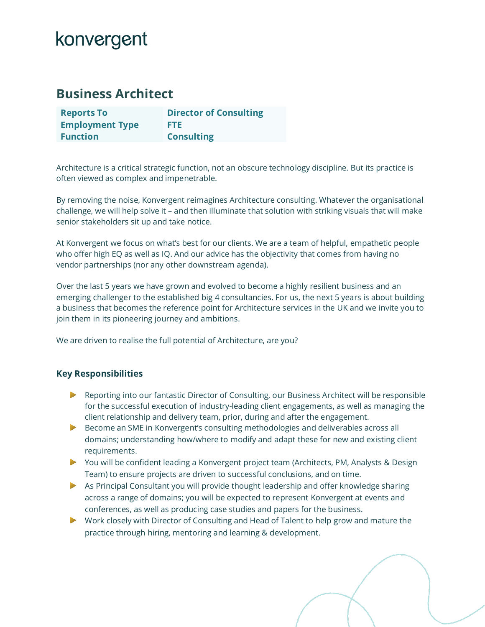# konvergent

### **Business Architect**

| <b>Reports To</b>      | <b>Director of Consulting</b> |
|------------------------|-------------------------------|
| <b>Employment Type</b> | FTE.                          |
| <b>Function</b>        | <b>Consulting</b>             |

Architecture is a critical strategic function, not an obscure technology discipline. But its practice is often viewed as complex and impenetrable.

By removing the noise, Konvergent reimagines Architecture consulting. Whatever the organisational challenge, we will help solve it – and then illuminate that solution with striking visuals that will make senior stakeholders sit up and take notice.

At Konvergent we focus on what's best for our clients. We are a team of helpful, empathetic people who offer high EQ as well as IQ. And our advice has the objectivity that comes from having no vendor partnerships (nor any other downstream agenda).

Over the last 5 years we have grown and evolved to become a highly resilient business and an emerging challenger to the established big 4 consultancies. For us, the next 5 years is about building a business that becomes the reference point for Architecture services in the UK and we invite you to join them in its pioneering journey and ambitions.

We are driven to realise the full potential of Architecture, are you?

### **Key Responsibilities**

- Reporting into our fantastic Director of Consulting, our Business Architect will be responsible for the successful execution of industry-leading client engagements, as well as managing the client relationship and delivery team, prior, during and after the engagement.
- Become an SME in Konvergent's consulting methodologies and deliverables across all domains; understanding how/where to modify and adapt these for new and existing client requirements.
- ▶ You will be confident leading a Konvergent project team (Architects, PM, Analysts & Design Team) to ensure projects are driven to successful conclusions, and on time.
- As Principal Consultant you will provide thought leadership and offer knowledge sharing across a range of domains; you will be expected to represent Konvergent at events and conferences, as well as producing case studies and papers for the business.
- ▶ Work closely with Director of Consulting and Head of Talent to help grow and mature the practice through hiring, mentoring and learning & development.